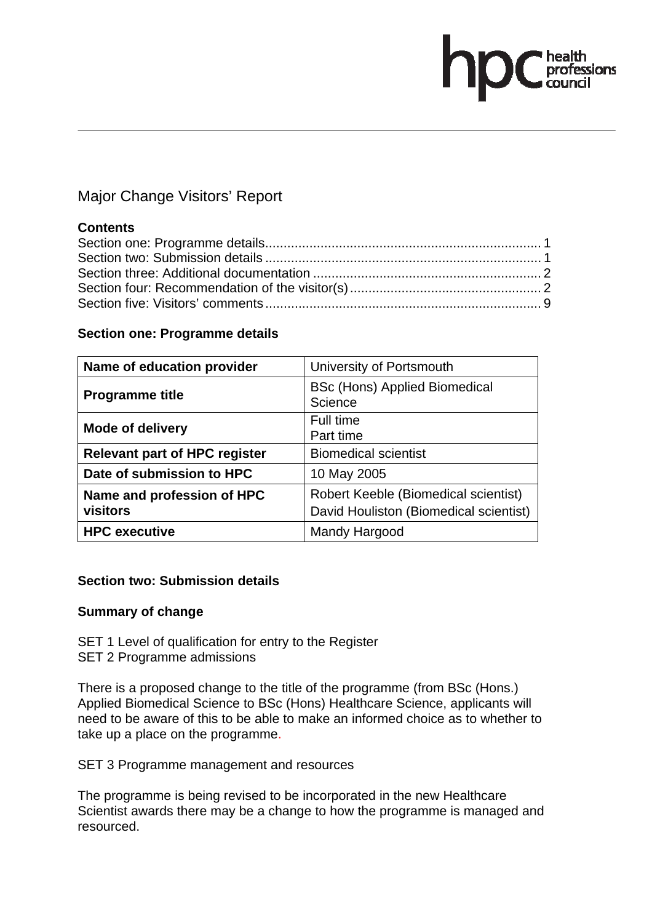# ofessions

# Major Change Visitors' Report

# **Contents**

# **Section one: Programme details**

| Name of education provider             | University of Portsmouth                        |
|----------------------------------------|-------------------------------------------------|
| <b>Programme title</b>                 | <b>BSc (Hons) Applied Biomedical</b><br>Science |
| <b>Mode of delivery</b>                | Full time<br>Part time                          |
| <b>Relevant part of HPC register</b>   | <b>Biomedical scientist</b>                     |
| Date of submission to HPC              | 10 May 2005                                     |
| Name and profession of HPC<br>visitors | Robert Keeble (Biomedical scientist)            |
|                                        | David Houliston (Biomedical scientist)          |
| <b>HPC</b> executive                   | Mandy Hargood                                   |

# **Section two: Submission details**

# **Summary of change**

SET 1 Level of qualification for entry to the Register SET 2 Programme admissions

There is a proposed change to the title of the programme (from BSc (Hons.) Applied Biomedical Science to BSc (Hons) Healthcare Science, applicants will need to be aware of this to be able to make an informed choice as to whether to take up a place on the programme.

SET 3 Programme management and resources

The programme is being revised to be incorporated in the new Healthcare Scientist awards there may be a change to how the programme is managed and resourced.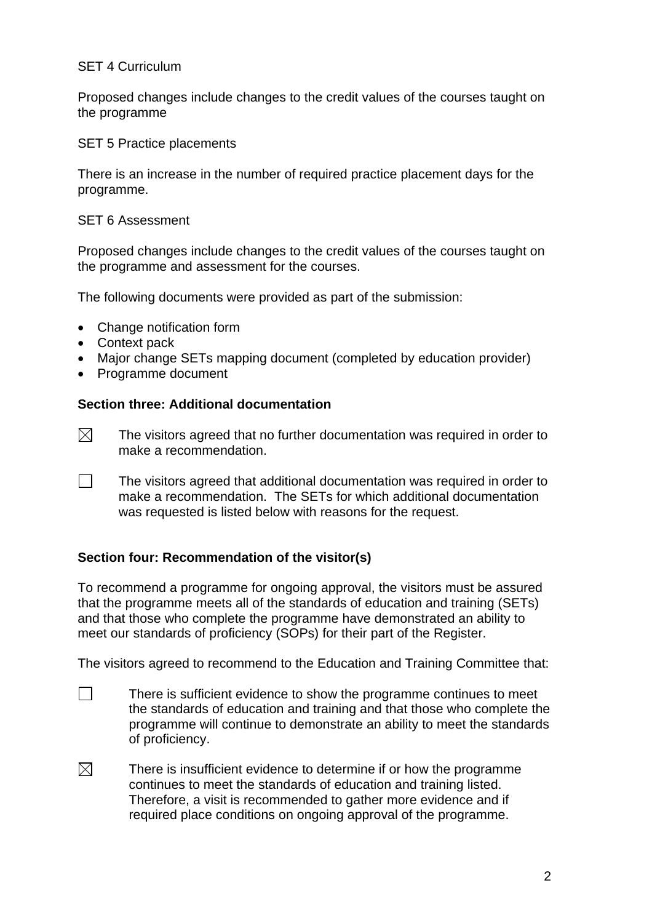# SET 4 Curriculum

Proposed changes include changes to the credit values of the courses taught on the programme

SET 5 Practice placements

There is an increase in the number of required practice placement days for the programme.

### SET 6 Assessment

Proposed changes include changes to the credit values of the courses taught on the programme and assessment for the courses.

The following documents were provided as part of the submission:

- Change notification form
- Context pack
- Major change SETs mapping document (completed by education provider)
- Programme document

# **Section three: Additional documentation**

- $\boxtimes$  The visitors agreed that no further documentation was required in order to make a recommendation.
- $\Box$  The visitors agreed that additional documentation was required in order to make a recommendation. The SETs for which additional documentation was requested is listed below with reasons for the request.

# **Section four: Recommendation of the visitor(s)**

To recommend a programme for ongoing approval, the visitors must be assured that the programme meets all of the standards of education and training (SETs) and that those who complete the programme have demonstrated an ability to meet our standards of proficiency (SOPs) for their part of the Register.

The visitors agreed to recommend to the Education and Training Committee that:

- $\Box$  There is sufficient evidence to show the programme continues to meet the standards of education and training and that those who complete the programme will continue to demonstrate an ability to meet the standards of proficiency.
- $\boxtimes$  There is insufficient evidence to determine if or how the programme continues to meet the standards of education and training listed. Therefore, a visit is recommended to gather more evidence and if required place conditions on ongoing approval of the programme.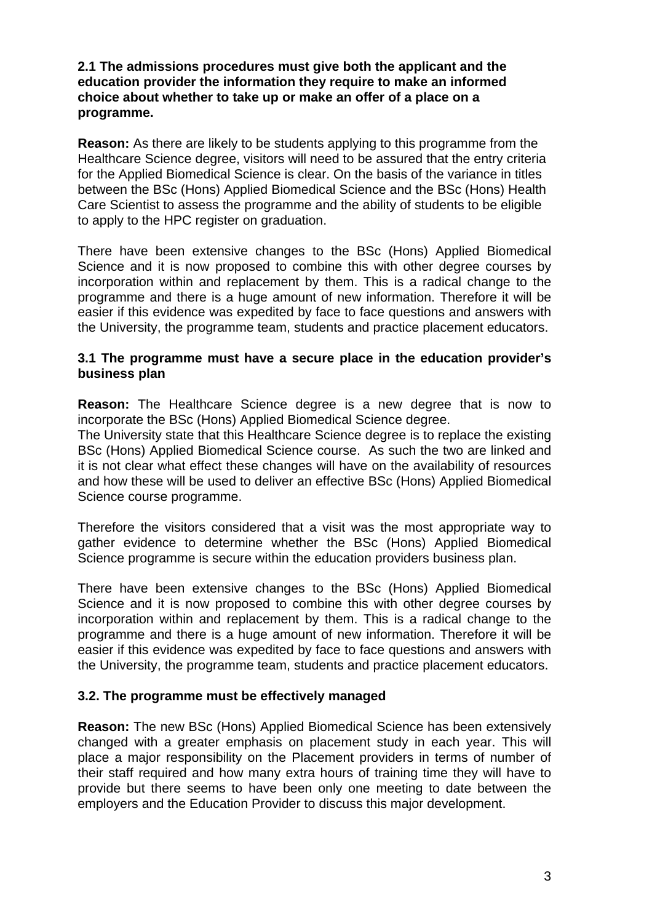# **2.1 The admissions procedures must give both the applicant and the education provider the information they require to make an informed choice about whether to take up or make an offer of a place on a programme.**

**Reason:** As there are likely to be students applying to this programme from the Healthcare Science degree, visitors will need to be assured that the entry criteria for the Applied Biomedical Science is clear. On the basis of the variance in titles between the BSc (Hons) Applied Biomedical Science and the BSc (Hons) Health Care Scientist to assess the programme and the ability of students to be eligible to apply to the HPC register on graduation.

There have been extensive changes to the BSc (Hons) Applied Biomedical Science and it is now proposed to combine this with other degree courses by incorporation within and replacement by them. This is a radical change to the programme and there is a huge amount of new information. Therefore it will be easier if this evidence was expedited by face to face questions and answers with the University, the programme team, students and practice placement educators.

# **3.1 The programme must have a secure place in the education provider's business plan**

**Reason:** The Healthcare Science degree is a new degree that is now to incorporate the BSc (Hons) Applied Biomedical Science degree.

The University state that this Healthcare Science degree is to replace the existing BSc (Hons) Applied Biomedical Science course. As such the two are linked and it is not clear what effect these changes will have on the availability of resources and how these will be used to deliver an effective BSc (Hons) Applied Biomedical Science course programme.

Therefore the visitors considered that a visit was the most appropriate way to gather evidence to determine whether the BSc (Hons) Applied Biomedical Science programme is secure within the education providers business plan.

There have been extensive changes to the BSc (Hons) Applied Biomedical Science and it is now proposed to combine this with other degree courses by incorporation within and replacement by them. This is a radical change to the programme and there is a huge amount of new information. Therefore it will be easier if this evidence was expedited by face to face questions and answers with the University, the programme team, students and practice placement educators.

# **3.2. The programme must be effectively managed**

**Reason:** The new BSc (Hons) Applied Biomedical Science has been extensively changed with a greater emphasis on placement study in each year. This will place a major responsibility on the Placement providers in terms of number of their staff required and how many extra hours of training time they will have to provide but there seems to have been only one meeting to date between the employers and the Education Provider to discuss this major development.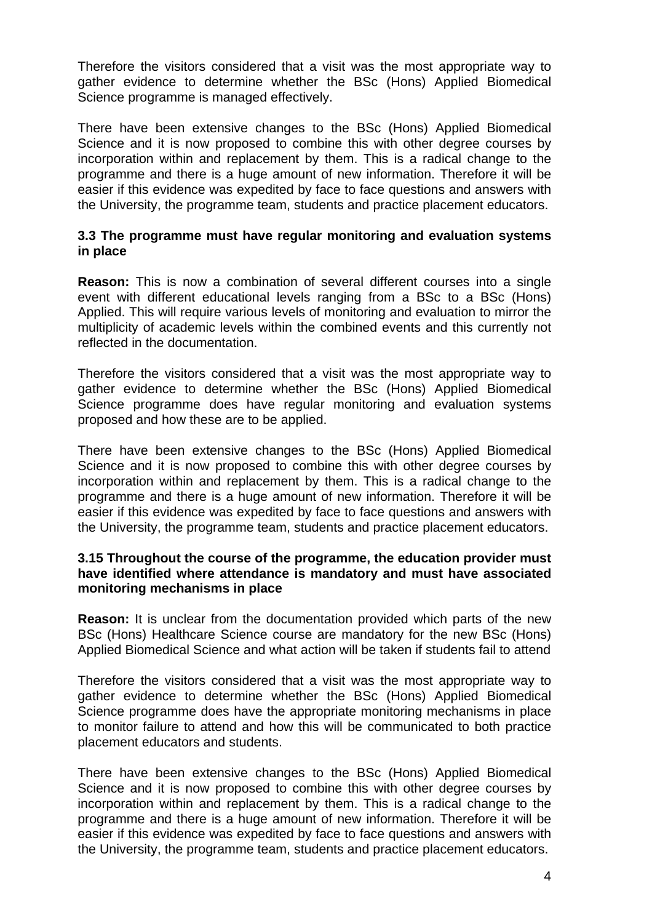Therefore the visitors considered that a visit was the most appropriate way to gather evidence to determine whether the BSc (Hons) Applied Biomedical Science programme is managed effectively.

There have been extensive changes to the BSc (Hons) Applied Biomedical Science and it is now proposed to combine this with other degree courses by incorporation within and replacement by them. This is a radical change to the programme and there is a huge amount of new information. Therefore it will be easier if this evidence was expedited by face to face questions and answers with the University, the programme team, students and practice placement educators.

# **3.3 The programme must have regular monitoring and evaluation systems in place**

**Reason:** This is now a combination of several different courses into a single event with different educational levels ranging from a BSc to a BSc (Hons) Applied. This will require various levels of monitoring and evaluation to mirror the multiplicity of academic levels within the combined events and this currently not reflected in the documentation.

Therefore the visitors considered that a visit was the most appropriate way to gather evidence to determine whether the BSc (Hons) Applied Biomedical Science programme does have regular monitoring and evaluation systems proposed and how these are to be applied.

There have been extensive changes to the BSc (Hons) Applied Biomedical Science and it is now proposed to combine this with other degree courses by incorporation within and replacement by them. This is a radical change to the programme and there is a huge amount of new information. Therefore it will be easier if this evidence was expedited by face to face questions and answers with the University, the programme team, students and practice placement educators.

# **3.15 Throughout the course of the programme, the education provider must have identified where attendance is mandatory and must have associated monitoring mechanisms in place**

**Reason:** It is unclear from the documentation provided which parts of the new BSc (Hons) Healthcare Science course are mandatory for the new BSc (Hons) Applied Biomedical Science and what action will be taken if students fail to attend

Therefore the visitors considered that a visit was the most appropriate way to gather evidence to determine whether the BSc (Hons) Applied Biomedical Science programme does have the appropriate monitoring mechanisms in place to monitor failure to attend and how this will be communicated to both practice placement educators and students.

There have been extensive changes to the BSc (Hons) Applied Biomedical Science and it is now proposed to combine this with other degree courses by incorporation within and replacement by them. This is a radical change to the programme and there is a huge amount of new information. Therefore it will be easier if this evidence was expedited by face to face questions and answers with the University, the programme team, students and practice placement educators.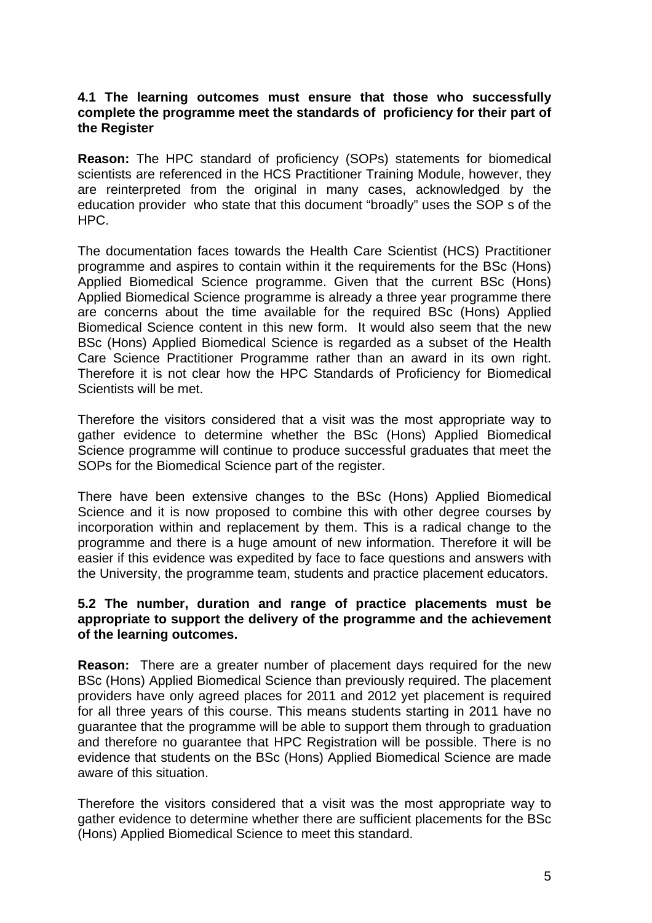# **4.1 The learning outcomes must ensure that those who successfully complete the programme meet the standards of proficiency for their part of the Register**

**Reason:** The HPC standard of proficiency (SOPs) statements for biomedical scientists are referenced in the HCS Practitioner Training Module, however, they are reinterpreted from the original in many cases, acknowledged by the education provider who state that this document "broadly" uses the SOP s of the HPC.

The documentation faces towards the Health Care Scientist (HCS) Practitioner programme and aspires to contain within it the requirements for the BSc (Hons) Applied Biomedical Science programme. Given that the current BSc (Hons) Applied Biomedical Science programme is already a three year programme there are concerns about the time available for the required BSc (Hons) Applied Biomedical Science content in this new form. It would also seem that the new BSc (Hons) Applied Biomedical Science is regarded as a subset of the Health Care Science Practitioner Programme rather than an award in its own right. Therefore it is not clear how the HPC Standards of Proficiency for Biomedical Scientists will be met.

Therefore the visitors considered that a visit was the most appropriate way to gather evidence to determine whether the BSc (Hons) Applied Biomedical Science programme will continue to produce successful graduates that meet the SOPs for the Biomedical Science part of the register.

There have been extensive changes to the BSc (Hons) Applied Biomedical Science and it is now proposed to combine this with other degree courses by incorporation within and replacement by them. This is a radical change to the programme and there is a huge amount of new information. Therefore it will be easier if this evidence was expedited by face to face questions and answers with the University, the programme team, students and practice placement educators.

# **5.2 The number, duration and range of practice placements must be appropriate to support the delivery of the programme and the achievement of the learning outcomes.**

**Reason:** There are a greater number of placement days required for the new BSc (Hons) Applied Biomedical Science than previously required. The placement providers have only agreed places for 2011 and 2012 yet placement is required for all three years of this course. This means students starting in 2011 have no guarantee that the programme will be able to support them through to graduation and therefore no guarantee that HPC Registration will be possible. There is no evidence that students on the BSc (Hons) Applied Biomedical Science are made aware of this situation.

Therefore the visitors considered that a visit was the most appropriate way to gather evidence to determine whether there are sufficient placements for the BSc (Hons) Applied Biomedical Science to meet this standard.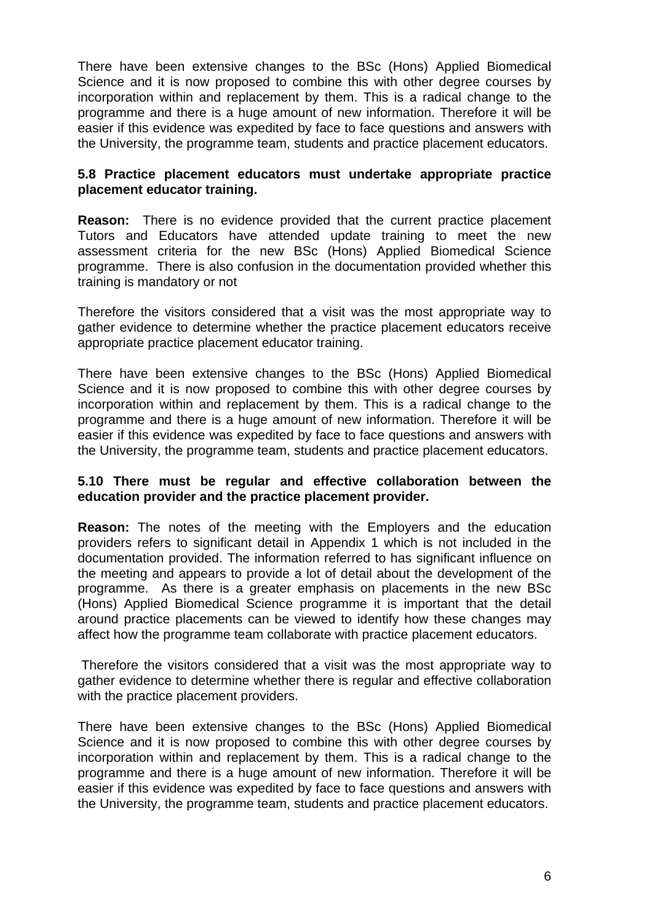There have been extensive changes to the BSc (Hons) Applied Biomedical Science and it is now proposed to combine this with other degree courses by incorporation within and replacement by them. This is a radical change to the programme and there is a huge amount of new information. Therefore it will be easier if this evidence was expedited by face to face questions and answers with the University, the programme team, students and practice placement educators.

# **5.8 Practice placement educators must undertake appropriate practice placement educator training.**

**Reason:** There is no evidence provided that the current practice placement Tutors and Educators have attended update training to meet the new assessment criteria for the new BSc (Hons) Applied Biomedical Science programme. There is also confusion in the documentation provided whether this training is mandatory or not

Therefore the visitors considered that a visit was the most appropriate way to gather evidence to determine whether the practice placement educators receive appropriate practice placement educator training.

There have been extensive changes to the BSc (Hons) Applied Biomedical Science and it is now proposed to combine this with other degree courses by incorporation within and replacement by them. This is a radical change to the programme and there is a huge amount of new information. Therefore it will be easier if this evidence was expedited by face to face questions and answers with the University, the programme team, students and practice placement educators.

# **5.10 There must be regular and effective collaboration between the education provider and the practice placement provider.**

**Reason:** The notes of the meeting with the Employers and the education providers refers to significant detail in Appendix 1 which is not included in the documentation provided. The information referred to has significant influence on the meeting and appears to provide a lot of detail about the development of the programme. As there is a greater emphasis on placements in the new BSc (Hons) Applied Biomedical Science programme it is important that the detail around practice placements can be viewed to identify how these changes may affect how the programme team collaborate with practice placement educators.

Therefore the visitors considered that a visit was the most appropriate way to gather evidence to determine whether there is regular and effective collaboration with the practice placement providers.

There have been extensive changes to the BSc (Hons) Applied Biomedical Science and it is now proposed to combine this with other degree courses by incorporation within and replacement by them. This is a radical change to the programme and there is a huge amount of new information. Therefore it will be easier if this evidence was expedited by face to face questions and answers with the University, the programme team, students and practice placement educators.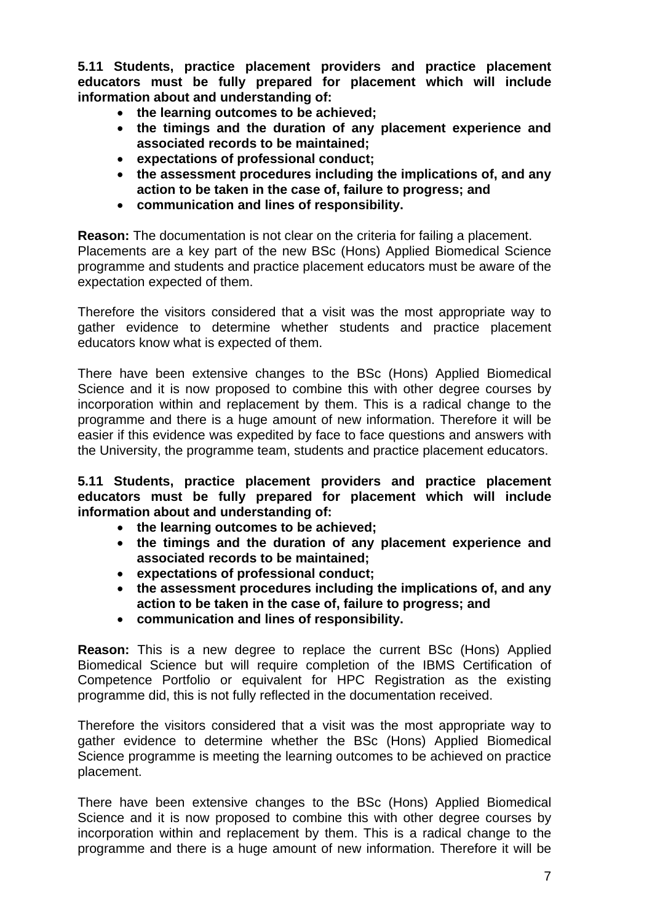**5.11 Students, practice placement providers and practice placement educators must be fully prepared for placement which will include information about and understanding of:** 

- **the learning outcomes to be achieved;**
- **the timings and the duration of any placement experience and associated records to be maintained;**
- **expectations of professional conduct;**
- **the assessment procedures including the implications of, and any action to be taken in the case of, failure to progress; and**
- **communication and lines of responsibility.**

**Reason:** The documentation is not clear on the criteria for failing a placement. Placements are a key part of the new BSc (Hons) Applied Biomedical Science programme and students and practice placement educators must be aware of the expectation expected of them.

Therefore the visitors considered that a visit was the most appropriate way to gather evidence to determine whether students and practice placement educators know what is expected of them.

There have been extensive changes to the BSc (Hons) Applied Biomedical Science and it is now proposed to combine this with other degree courses by incorporation within and replacement by them. This is a radical change to the programme and there is a huge amount of new information. Therefore it will be easier if this evidence was expedited by face to face questions and answers with the University, the programme team, students and practice placement educators.

**5.11 Students, practice placement providers and practice placement educators must be fully prepared for placement which will include information about and understanding of:** 

- **the learning outcomes to be achieved;**
- **the timings and the duration of any placement experience and associated records to be maintained;**
- **expectations of professional conduct;**
- **the assessment procedures including the implications of, and any action to be taken in the case of, failure to progress; and**
- **communication and lines of responsibility.**

**Reason:** This is a new degree to replace the current BSc (Hons) Applied Biomedical Science but will require completion of the IBMS Certification of Competence Portfolio or equivalent for HPC Registration as the existing programme did, this is not fully reflected in the documentation received.

Therefore the visitors considered that a visit was the most appropriate way to gather evidence to determine whether the BSc (Hons) Applied Biomedical Science programme is meeting the learning outcomes to be achieved on practice placement.

There have been extensive changes to the BSc (Hons) Applied Biomedical Science and it is now proposed to combine this with other degree courses by incorporation within and replacement by them. This is a radical change to the programme and there is a huge amount of new information. Therefore it will be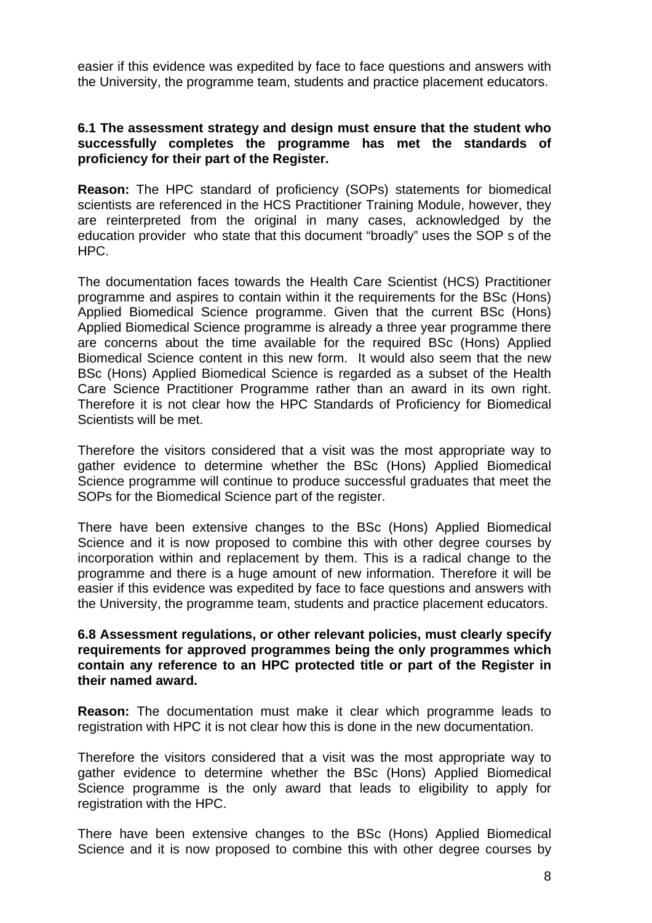easier if this evidence was expedited by face to face questions and answers with the University, the programme team, students and practice placement educators.

# **6.1 The assessment strategy and design must ensure that the student who successfully completes the programme has met the standards of proficiency for their part of the Register.**

**Reason:** The HPC standard of proficiency (SOPs) statements for biomedical scientists are referenced in the HCS Practitioner Training Module, however, they are reinterpreted from the original in many cases, acknowledged by the education provider who state that this document "broadly" uses the SOP s of the HPC.

The documentation faces towards the Health Care Scientist (HCS) Practitioner programme and aspires to contain within it the requirements for the BSc (Hons) Applied Biomedical Science programme. Given that the current BSc (Hons) Applied Biomedical Science programme is already a three year programme there are concerns about the time available for the required BSc (Hons) Applied Biomedical Science content in this new form. It would also seem that the new BSc (Hons) Applied Biomedical Science is regarded as a subset of the Health Care Science Practitioner Programme rather than an award in its own right. Therefore it is not clear how the HPC Standards of Proficiency for Biomedical Scientists will be met.

Therefore the visitors considered that a visit was the most appropriate way to gather evidence to determine whether the BSc (Hons) Applied Biomedical Science programme will continue to produce successful graduates that meet the SOPs for the Biomedical Science part of the register.

There have been extensive changes to the BSc (Hons) Applied Biomedical Science and it is now proposed to combine this with other degree courses by incorporation within and replacement by them. This is a radical change to the programme and there is a huge amount of new information. Therefore it will be easier if this evidence was expedited by face to face questions and answers with the University, the programme team, students and practice placement educators.

### **6.8 Assessment regulations, or other relevant policies, must clearly specify requirements for approved programmes being the only programmes which contain any reference to an HPC protected title or part of the Register in their named award.**

**Reason:** The documentation must make it clear which programme leads to registration with HPC it is not clear how this is done in the new documentation.

Therefore the visitors considered that a visit was the most appropriate way to gather evidence to determine whether the BSc (Hons) Applied Biomedical Science programme is the only award that leads to eligibility to apply for registration with the HPC.

There have been extensive changes to the BSc (Hons) Applied Biomedical Science and it is now proposed to combine this with other degree courses by